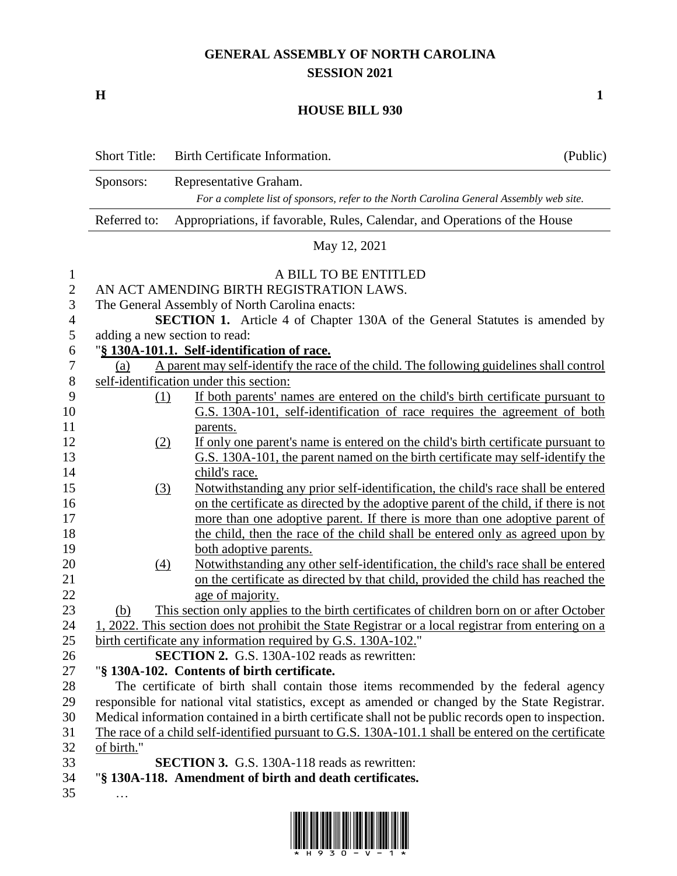## **GENERAL ASSEMBLY OF NORTH CAROLINA SESSION 2021**

**H 1**

## **HOUSE BILL 930**

|                          | <b>Short Title:</b>                                                        | Birth Certificate Information.                                                                       | (Public) |  |  |  |
|--------------------------|----------------------------------------------------------------------------|------------------------------------------------------------------------------------------------------|----------|--|--|--|
|                          | Sponsors:                                                                  | Representative Graham.                                                                               |          |  |  |  |
|                          |                                                                            | For a complete list of sponsors, refer to the North Carolina General Assembly web site.              |          |  |  |  |
|                          | Referred to:                                                               | Appropriations, if favorable, Rules, Calendar, and Operations of the House                           |          |  |  |  |
|                          | May 12, 2021                                                               |                                                                                                      |          |  |  |  |
| $\mathbf{1}$             |                                                                            | A BILL TO BE ENTITLED                                                                                |          |  |  |  |
| $\overline{2}$           | AN ACT AMENDING BIRTH REGISTRATION LAWS.                                   |                                                                                                      |          |  |  |  |
| 3                        |                                                                            | The General Assembly of North Carolina enacts:                                                       |          |  |  |  |
| $\overline{\mathcal{A}}$ | SECTION 1. Article 4 of Chapter 130A of the General Statutes is amended by |                                                                                                      |          |  |  |  |
| 5                        | adding a new section to read:                                              |                                                                                                      |          |  |  |  |
| 6                        |                                                                            | "§ 130A-101.1. Self-identification of race.                                                          |          |  |  |  |
| 7                        | (a)                                                                        | A parent may self-identify the race of the child. The following guidelines shall control             |          |  |  |  |
| $8\,$                    |                                                                            | self-identification under this section:                                                              |          |  |  |  |
| 9                        | (1)                                                                        | If both parents' names are entered on the child's birth certificate pursuant to                      |          |  |  |  |
| 10                       |                                                                            | G.S. 130A-101, self-identification of race requires the agreement of both                            |          |  |  |  |
| 11                       |                                                                            | parents.                                                                                             |          |  |  |  |
| 12                       | (2)                                                                        | If only one parent's name is entered on the child's birth certificate pursuant to                    |          |  |  |  |
| 13                       |                                                                            | G.S. 130A-101, the parent named on the birth certificate may self-identify the                       |          |  |  |  |
| 14                       |                                                                            | child's race.                                                                                        |          |  |  |  |
| 15                       | (3)                                                                        | Notwithstanding any prior self-identification, the child's race shall be entered                     |          |  |  |  |
| 16                       |                                                                            | on the certificate as directed by the adoptive parent of the child, if there is not                  |          |  |  |  |
| 17                       |                                                                            | more than one adoptive parent. If there is more than one adoptive parent of                          |          |  |  |  |
| 18                       |                                                                            | the child, then the race of the child shall be entered only as agreed upon by                        |          |  |  |  |
| 19                       |                                                                            | both adoptive parents.                                                                               |          |  |  |  |
| 20                       | (4)                                                                        | Notwithstanding any other self-identification, the child's race shall be entered                     |          |  |  |  |
| 21                       |                                                                            | on the certificate as directed by that child, provided the child has reached the                     |          |  |  |  |
| 22                       |                                                                            | age of majority.                                                                                     |          |  |  |  |
| 23                       | (b)                                                                        | This section only applies to the birth certificates of children born on or after October             |          |  |  |  |
| 24                       |                                                                            | 1, 2022. This section does not prohibit the State Registrar or a local registrar from entering on a  |          |  |  |  |
| 25                       |                                                                            | birth certificate any information required by G.S. 130A-102."                                        |          |  |  |  |
| 26                       |                                                                            | <b>SECTION 2.</b> G.S. 130A-102 reads as rewritten:                                                  |          |  |  |  |
| 27                       |                                                                            | "§ 130A-102. Contents of birth certificate.                                                          |          |  |  |  |
| 28                       |                                                                            | The certificate of birth shall contain those items recommended by the federal agency                 |          |  |  |  |
| 29                       |                                                                            | responsible for national vital statistics, except as amended or changed by the State Registrar.      |          |  |  |  |
| 30                       |                                                                            | Medical information contained in a birth certificate shall not be public records open to inspection. |          |  |  |  |
| 31                       |                                                                            | The race of a child self-identified pursuant to G.S. 130A-101.1 shall be entered on the certificate  |          |  |  |  |
| 32                       | of birth."                                                                 |                                                                                                      |          |  |  |  |
| 33                       |                                                                            | <b>SECTION 3.</b> G.S. 130A-118 reads as rewritten:                                                  |          |  |  |  |
| 34                       |                                                                            | "§ 130A-118. Amendment of birth and death certificates.                                              |          |  |  |  |
| 35                       |                                                                            |                                                                                                      |          |  |  |  |